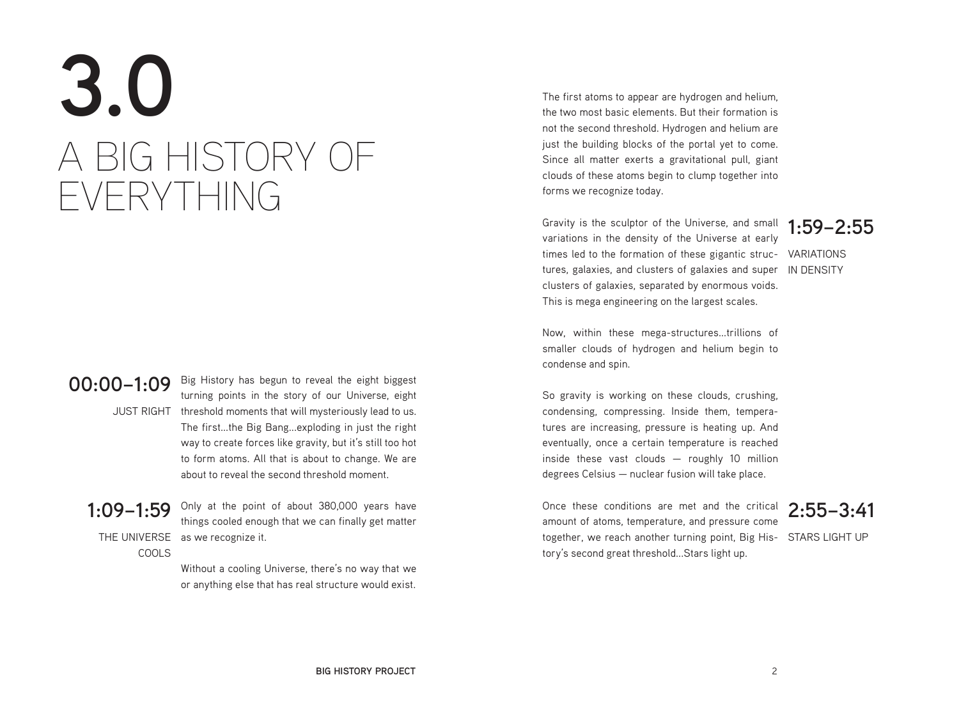# **3.0** A BIG HISTORY OF EVERYTHING

**00:00–1:09** Big History has begun to reveal the eight biggest JUST RIGHT threshold moments that will mysteriously lead to us. turning points in the story of our Universe, eight The first...the Big Bang...exploding in just the right way to create forces like gravity, but it's still too hot to form atoms. All that is about to change. We are about to reveal the second threshold moment.

**1:09–1:59** Only at the point of about 380,000 years have THE UNIVERSE as we recognize it. things cooled enough that we can finally get matter

COOLS

Without a cooling Universe, there's no way that we or anything else that has real structure would exist.

The first atoms to appear are hydrogen and helium, the two most basic elements. But their formation is not the second threshold. Hydrogen and helium are just the building blocks of the portal yet to come. Since all matter exerts a gravitational pull, giant clouds of these atoms begin to clump together into forms we recognize today.

times led to the formation of these gigantic struc- VARIATIONS tures, galaxies, and clusters of galaxies and super IN DENSITY Gravity is the sculptor of the Universe, and small variations in the density of the Universe at early clusters of galaxies, separated by enormous voids. This is mega engineering on the largest scales.

## **1:59–2:55**

Now, within these mega-structures...trillions of smaller clouds of hydrogen and helium begin to condense and spin.

So gravity is working on these clouds, crushing, condensing, compressing. Inside them, temperatures are increasing, pressure is heating up. And eventually, once a certain temperature is reached inside these vast clouds — roughly 10 million degrees Celsius — nuclear fusion will take place.

together, we reach another turning point, Big His- STARS LIGHT UP Once these conditions are met and the critical amount of atoms, temperature, and pressure come tory's second great threshold...Stars light up.

**2:55–3:41**